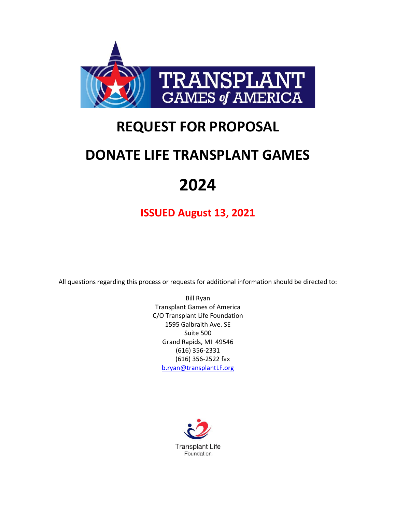

# **REQUEST FOR PROPOSAL**

# **DONATE LIFE TRANSPLANT GAMES**

# **2024**

**ISSUED August 13, 2021**

All questions regarding this process or requests for additional information should be directed to:

Bill Ryan Transplant Games of America C/O Transplant Life Foundation 1595 Galbraith Ave. SE Suite 500 Grand Rapids, MI 49546 (616) 356-2331 (616) 356-2522 fax [b.ryan@transplantLF.org](mailto:b.ryan@transplantLF.org)

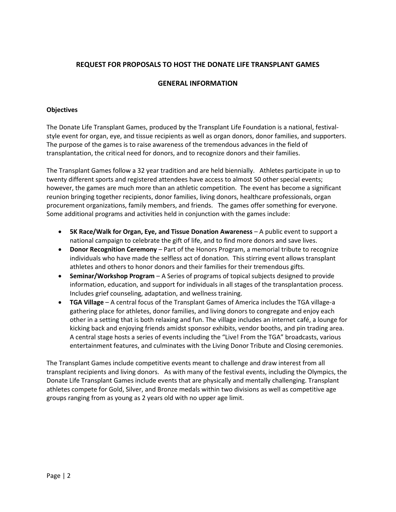# **REQUEST FOR PROPOSALS TO HOST THE DONATE LIFE TRANSPLANT GAMES**

#### **GENERAL INFORMATION**

#### **Objectives**

The Donate Life Transplant Games, produced by the Transplant Life Foundation is a national, festivalstyle event for organ, eye, and tissue recipients as well as organ donors, donor families, and supporters. The purpose of the games is to raise awareness of the tremendous advances in the field of transplantation, the critical need for donors, and to recognize donors and their families.

The Transplant Games follow a 32 year tradition and are held biennially. Athletes participate in up to twenty different sports and registered attendees have access to almost 50 other special events; however, the games are much more than an athletic competition. The event has become a significant reunion bringing together recipients, donor families, living donors, healthcare professionals, organ procurement organizations, family members, and friends. The games offer something for everyone. Some additional programs and activities held in conjunction with the games include:

- **5K Race/Walk for Organ, Eye, and Tissue Donation Awareness** A public event to support a national campaign to celebrate the gift of life, and to find more donors and save lives.
- **Donor Recognition Ceremony**  Part of the Honors Program, a memorial tribute to recognize individuals who have made the selfless act of donation. This stirring event allows transplant athletes and others to honor donors and their families for their tremendous gifts.
- **Seminar/Workshop Program**  A Series of programs of topical subjects designed to provide information, education, and support for individuals in all stages of the transplantation process. Includes grief counseling, adaptation, and wellness training.
- **TGA Village** A central focus of the Transplant Games of America includes the TGA village-a gathering place for athletes, donor families, and living donors to congregate and enjoy each other in a setting that is both relaxing and fun. The village includes an internet café, a lounge for kicking back and enjoying friends amidst sponsor exhibits, vendor booths, and pin trading area. A central stage hosts a series of events including the "Live! From the TGA" broadcasts, various entertainment features, and culminates with the Living Donor Tribute and Closing ceremonies.

The Transplant Games include competitive events meant to challenge and draw interest from all transplant recipients and living donors. As with many of the festival events, including the Olympics, the Donate Life Transplant Games include events that are physically and mentally challenging. Transplant athletes compete for Gold, Silver, and Bronze medals within two divisions as well as competitive age groups ranging from as young as 2 years old with no upper age limit.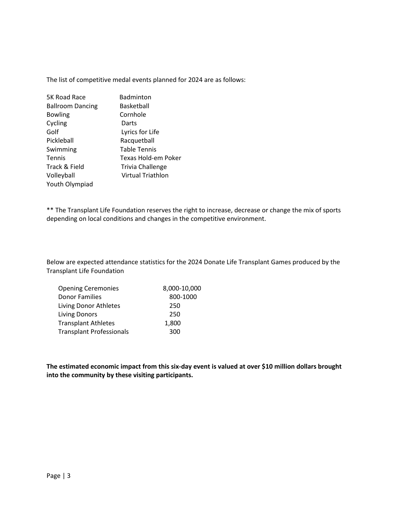The list of competitive medal events planned for 2024 are as follows:

| 5K Road Race            | Badminton               |
|-------------------------|-------------------------|
| <b>Ballroom Dancing</b> | Basketball              |
| <b>Bowling</b>          | Cornhole                |
| Cycling                 | Darts                   |
| Golf                    | Lyrics for Life         |
| Pickleball              | Racquetball             |
| Swimming                | <b>Table Tennis</b>     |
| <b>Tennis</b>           | Texas Hold-em Poker     |
| Track & Field           | <b>Trivia Challenge</b> |
| Volleyball              | Virtual Triathlon       |
| Youth Olympiad          |                         |

\*\* The Transplant Life Foundation reserves the right to increase, decrease or change the mix of sports depending on local conditions and changes in the competitive environment.

Below are expected attendance statistics for the 2024 Donate Life Transplant Games produced by the Transplant Life Foundation

| <b>Opening Ceremonies</b>       | 8,000-10,000 |
|---------------------------------|--------------|
| <b>Donor Families</b>           | 800-1000     |
| Living Donor Athletes           | 250          |
| <b>Living Donors</b>            | 250          |
| <b>Transplant Athletes</b>      | 1,800        |
| <b>Transplant Professionals</b> | 300          |

**The estimated economic impact from this six-day event is valued at over \$10 million dollars brought into the community by these visiting participants.**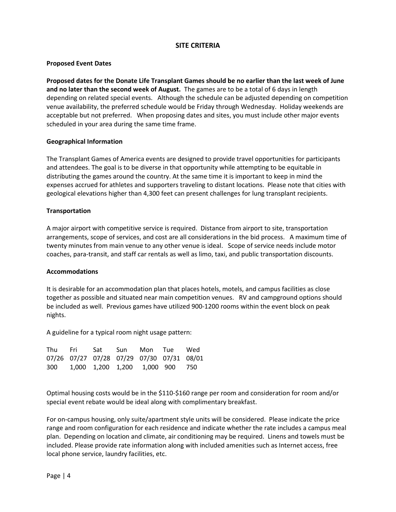## **SITE CRITERIA**

#### **Proposed Event Dates**

**Proposed dates for the Donate Life Transplant Games should be no earlier than the last week of June and no later than the second week of August.** The games are to be a total of 6 days in length depending on related special events. Although the schedule can be adjusted depending on competition venue availability, the preferred schedule would be Friday through Wednesday. Holiday weekends are acceptable but not preferred. When proposing dates and sites, you must include other major events scheduled in your area during the same time frame.

#### **Geographical Information**

The Transplant Games of America events are designed to provide travel opportunities for participants and attendees. The goal is to be diverse in that opportunity while attempting to be equitable in distributing the games around the country. At the same time it is important to keep in mind the expenses accrued for athletes and supporters traveling to distant locations. Please note that cities with geological elevations higher than 4,300 feet can present challenges for lung transplant recipients.

#### **Transportation**

A major airport with competitive service is required. Distance from airport to site, transportation arrangements, scope of services, and cost are all considerations in the bid process. A maximum time of twenty minutes from main venue to any other venue is ideal. Scope of service needs include motor coaches, para-transit, and staff car rentals as well as limo, taxi, and public transportation discounts.

#### **Accommodations**

It is desirable for an accommodation plan that places hotels, motels, and campus facilities as close together as possible and situated near main competition venues. RV and campground options should be included as well. Previous games have utilized 900-1200 rooms within the event block on peak nights.

A guideline for a typical room night usage pattern:

|  |  | Thu Fri Sat Sun Mon Tue Wed               |  |
|--|--|-------------------------------------------|--|
|  |  | 07/26 07/27 07/28 07/29 07/30 07/31 08/01 |  |
|  |  | 300 1,000 1,200 1,200 1,000 900 750       |  |

Optimal housing costs would be in the \$110-\$160 range per room and consideration for room and/or special event rebate would be ideal along with complimentary breakfast.

For on-campus housing, only suite/apartment style units will be considered. Please indicate the price range and room configuration for each residence and indicate whether the rate includes a campus meal plan. Depending on location and climate, air conditioning may be required. Linens and towels must be included. Please provide rate information along with included amenities such as Internet access, free local phone service, laundry facilities, etc.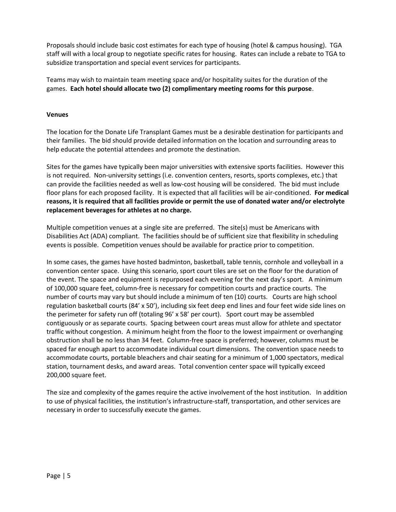Proposals should include basic cost estimates for each type of housing (hotel & campus housing). TGA staff will with a local group to negotiate specific rates for housing. Rates can include a rebate to TGA to subsidize transportation and special event services for participants.

Teams may wish to maintain team meeting space and/or hospitality suites for the duration of the games. **Each hotel should allocate two (2) complimentary meeting rooms for this purpose**.

#### **Venues**

The location for the Donate Life Transplant Games must be a desirable destination for participants and their families. The bid should provide detailed information on the location and surrounding areas to help educate the potential attendees and promote the destination.

Sites for the games have typically been major universities with extensive sports facilities. However this is not required. Non-university settings (i.e. convention centers, resorts, sports complexes, etc.) that can provide the facilities needed as well as low-cost housing will be considered. The bid must include floor plans for each proposed facility. It is expected that all facilities will be air-conditioned. **For medical reasons, it is required that all facilities provide or permit the use of donated water and/or electrolyte replacement beverages for athletes at no charge.**

Multiple competition venues at a single site are preferred. The site(s) must be Americans with Disabilities Act (ADA) compliant. The facilities should be of sufficient size that flexibility in scheduling events is possible. Competition venues should be available for practice prior to competition.

In some cases, the games have hosted badminton, basketball, table tennis, cornhole and volleyball in a convention center space. Using this scenario, sport court tiles are set on the floor for the duration of the event. The space and equipment is repurposed each evening for the next day's sport. A minimum of 100,000 square feet, column-free is necessary for competition courts and practice courts. The number of courts may vary but should include a minimum of ten (10) courts. Courts are high school regulation basketball courts (84' x 50'), including six feet deep end lines and four feet wide side lines on the perimeter for safety run off (totaling 96' x 58' per court). Sport court may be assembled contiguously or as separate courts. Spacing between court areas must allow for athlete and spectator traffic without congestion. A minimum height from the floor to the lowest impairment or overhanging obstruction shall be no less than 34 feet. Column-free space is preferred; however, columns must be spaced far enough apart to accommodate individual court dimensions. The convention space needs to accommodate courts, portable bleachers and chair seating for a minimum of 1,000 spectators, medical station, tournament desks, and award areas. Total convention center space will typically exceed 200,000 square feet.

The size and complexity of the games require the active involvement of the host institution. In addition to use of physical facilities, the institution's infrastructure-staff, transportation, and other services are necessary in order to successfully execute the games.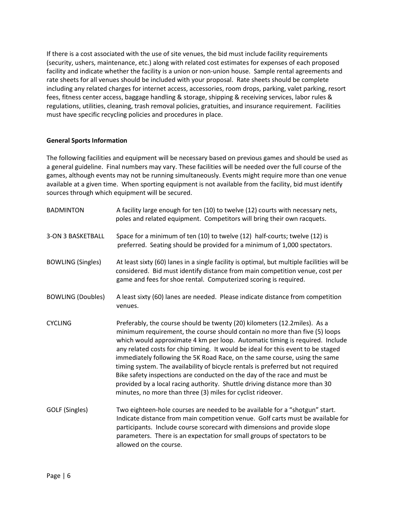If there is a cost associated with the use of site venues, the bid must include facility requirements (security, ushers, maintenance, etc.) along with related cost estimates for expenses of each proposed facility and indicate whether the facility is a union or non-union house. Sample rental agreements and rate sheets for all venues should be included with your proposal. Rate sheets should be complete including any related charges for internet access, accessories, room drops, parking, valet parking, resort fees, fitness center access, baggage handling & storage, shipping & receiving services, labor rules & regulations, utilities, cleaning, trash removal policies, gratuities, and insurance requirement. Facilities must have specific recycling policies and procedures in place.

#### **General Sports Information**

The following facilities and equipment will be necessary based on previous games and should be used as a general guideline. Final numbers may vary. These facilities will be needed over the full course of the games, although events may not be running simultaneously. Events might require more than one venue available at a given time. When sporting equipment is not available from the facility, bid must identify sources through which equipment will be secured.

| <b>BADMINTON</b>         | A facility large enough for ten (10) to twelve (12) courts with necessary nets,<br>poles and related equipment. Competitors will bring their own racquets.                                                                                                                                                                                                                                                                                                                                                                                                                                                                                                                                                              |
|--------------------------|-------------------------------------------------------------------------------------------------------------------------------------------------------------------------------------------------------------------------------------------------------------------------------------------------------------------------------------------------------------------------------------------------------------------------------------------------------------------------------------------------------------------------------------------------------------------------------------------------------------------------------------------------------------------------------------------------------------------------|
| 3-ON 3 BASKETBALL        | Space for a minimum of ten (10) to twelve (12) half-courts; twelve (12) is<br>preferred. Seating should be provided for a minimum of 1,000 spectators.                                                                                                                                                                                                                                                                                                                                                                                                                                                                                                                                                                  |
| <b>BOWLING (Singles)</b> | At least sixty (60) lanes in a single facility is optimal, but multiple facilities will be<br>considered. Bid must identify distance from main competition venue, cost per<br>game and fees for shoe rental. Computerized scoring is required.                                                                                                                                                                                                                                                                                                                                                                                                                                                                          |
| <b>BOWLING (Doubles)</b> | A least sixty (60) lanes are needed. Please indicate distance from competition<br>venues.                                                                                                                                                                                                                                                                                                                                                                                                                                                                                                                                                                                                                               |
| <b>CYCLING</b>           | Preferably, the course should be twenty (20) kilometers (12.2miles). As a<br>minimum requirement, the course should contain no more than five (5) loops<br>which would approximate 4 km per loop. Automatic timing is required. Include<br>any related costs for chip timing. It would be ideal for this event to be staged<br>immediately following the 5K Road Race, on the same course, using the same<br>timing system. The availability of bicycle rentals is preferred but not required<br>Bike safety inspections are conducted on the day of the race and must be<br>provided by a local racing authority. Shuttle driving distance more than 30<br>minutes, no more than three (3) miles for cyclist rideover. |
| GOLF (Singles)           | Two eighteen-hole courses are needed to be available for a "shotgun" start.<br>Indicate distance from main competition venue. Golf carts must be available for<br>participants. Include course scorecard with dimensions and provide slope<br>parameters. There is an expectation for small groups of spectators to be<br>allowed on the course.                                                                                                                                                                                                                                                                                                                                                                        |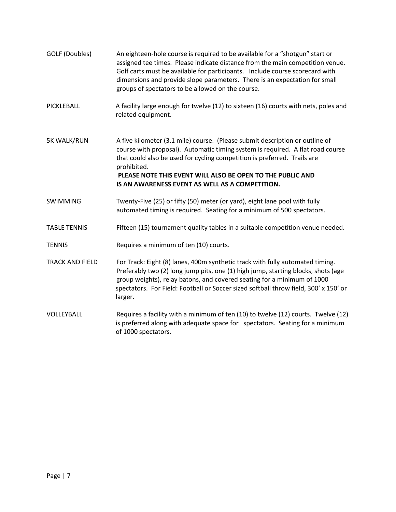GOLF (Doubles) An eighteen-hole course is required to be available for a "shotgun" start or assigned tee times. Please indicate distance from the main competition venue. Golf carts must be available for participants. Include course scorecard with dimensions and provide slope parameters. There is an expectation for small groups of spectators to be allowed on the course. PICKLEBALL A facility large enough for twelve (12) to sixteen (16) courts with nets, poles and related equipment. 5K WALK/RUN A five kilometer (3.1 mile) course. (Please submit description or outline of course with proposal). Automatic timing system is required. A flat road course that could also be used for cycling competition is preferred. Trails are prohibited. **PLEASE NOTE THIS EVENT WILL ALSO BE OPEN TO THE PUBLIC AND IS AN AWARENESS EVENT AS WELL AS A COMPETITION.** SWIMMING Twenty-Five (25) or fifty (50) meter (or yard), eight lane pool with fully automated timing is required. Seating for a minimum of 500 spectators. TABLE TENNIS Fifteen (15) tournament quality tables in a suitable competition venue needed. TENNIS Requires a minimum of ten (10) courts. TRACK AND FIELD For Track: Eight (8) lanes, 400m synthetic track with fully automated timing. Preferably two (2) long jump pits, one (1) high jump, starting blocks, shots (age group weights), relay batons, and covered seating for a minimum of 1000 spectators. For Field: Football or Soccer sized softball throw field, 300' x 150' or larger. VOLLEYBALL Requires a facility with a minimum of ten (10) to twelve (12) courts. Twelve (12) is preferred along with adequate space for spectators. Seating for a minimum of 1000 spectators.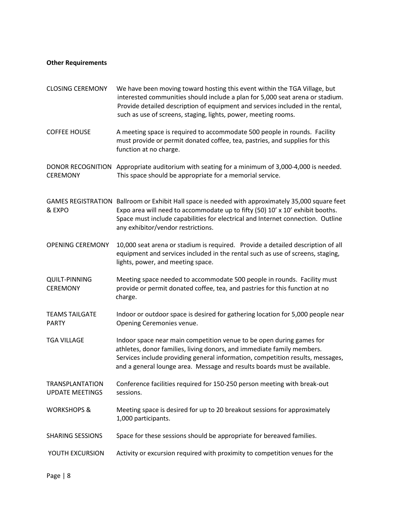# **Other Requirements**

| <b>CLOSING CEREMONY</b>                          | We have been moving toward hosting this event within the TGA Village, but<br>interested communities should include a plan for 5,000 seat arena or stadium.<br>Provide detailed description of equipment and services included in the rental,<br>such as use of screens, staging, lights, power, meeting rooms. |
|--------------------------------------------------|----------------------------------------------------------------------------------------------------------------------------------------------------------------------------------------------------------------------------------------------------------------------------------------------------------------|
| <b>COFFEE HOUSE</b>                              | A meeting space is required to accommodate 500 people in rounds. Facility<br>must provide or permit donated coffee, tea, pastries, and supplies for this<br>function at no charge.                                                                                                                             |
| <b>CEREMONY</b>                                  | DONOR RECOGNITION Appropriate auditorium with seating for a minimum of 3,000-4,000 is needed.<br>This space should be appropriate for a memorial service.                                                                                                                                                      |
| & EXPO                                           | GAMES REGISTRATION Ballroom or Exhibit Hall space is needed with approximately 35,000 square feet<br>Expo area will need to accommodate up to fifty (50) 10' x 10' exhibit booths.<br>Space must include capabilities for electrical and Internet connection. Outline<br>any exhibitor/vendor restrictions.    |
| <b>OPENING CEREMONY</b>                          | 10,000 seat arena or stadium is required. Provide a detailed description of all<br>equipment and services included in the rental such as use of screens, staging,<br>lights, power, and meeting space.                                                                                                         |
| <b>QUILT-PINNING</b><br><b>CEREMONY</b>          | Meeting space needed to accommodate 500 people in rounds. Facility must<br>provide or permit donated coffee, tea, and pastries for this function at no<br>charge.                                                                                                                                              |
| <b>TEAMS TAILGATE</b><br><b>PARTY</b>            | Indoor or outdoor space is desired for gathering location for 5,000 people near<br>Opening Ceremonies venue.                                                                                                                                                                                                   |
| <b>TGA VILLAGE</b>                               | Indoor space near main competition venue to be open during games for<br>athletes, donor families, living donors, and immediate family members.<br>Services include providing general information, competition results, messages,<br>and a general lounge area. Message and results boards must be available.   |
| <b>TRANSPLANTATION</b><br><b>UPDATE MEETINGS</b> | Conference facilities required for 150-250 person meeting with break-out<br>sessions.                                                                                                                                                                                                                          |
| <b>WORKSHOPS &amp;</b>                           | Meeting space is desired for up to 20 breakout sessions for approximately<br>1,000 participants.                                                                                                                                                                                                               |
| <b>SHARING SESSIONS</b>                          | Space for these sessions should be appropriate for bereaved families.                                                                                                                                                                                                                                          |
| YOUTH EXCURSION                                  | Activity or excursion required with proximity to competition venues for the                                                                                                                                                                                                                                    |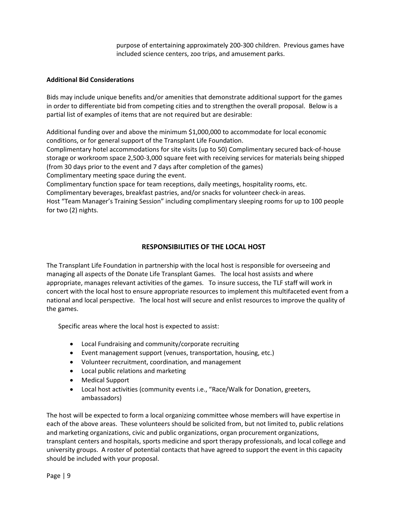purpose of entertaining approximately 200-300 children. Previous games have included science centers, zoo trips, and amusement parks.

#### **Additional Bid Considerations**

Bids may include unique benefits and/or amenities that demonstrate additional support for the games in order to differentiate bid from competing cities and to strengthen the overall proposal. Below is a partial list of examples of items that are not required but are desirable:

Additional funding over and above the minimum \$1,000,000 to accommodate for local economic conditions, or for general support of the Transplant Life Foundation.

Complimentary hotel accommodations for site visits (up to 50) Complimentary secured back-of-house storage or workroom space 2,500-3,000 square feet with receiving services for materials being shipped (from 30 days prior to the event and 7 days after completion of the games)

Complimentary meeting space during the event.

Complimentary function space for team receptions, daily meetings, hospitality rooms, etc.

Complimentary beverages, breakfast pastries, and/or snacks for volunteer check-in areas.

Host "Team Manager's Training Session" including complimentary sleeping rooms for up to 100 people for two (2) nights.

# **RESPONSIBILITIES OF THE LOCAL HOST**

The Transplant Life Foundation in partnership with the local host is responsible for overseeing and managing all aspects of the Donate Life Transplant Games. The local host assists and where appropriate, manages relevant activities of the games. To insure success, the TLF staff will work in concert with the local host to ensure appropriate resources to implement this multifaceted event from a national and local perspective. The local host will secure and enlist resources to improve the quality of the games.

Specific areas where the local host is expected to assist:

- Local Fundraising and community/corporate recruiting
- Event management support (venues, transportation, housing, etc.)
- Volunteer recruitment, coordination, and management
- Local public relations and marketing
- Medical Support
- Local host activities (community events i.e., "Race/Walk for Donation, greeters, ambassadors)

The host will be expected to form a local organizing committee whose members will have expertise in each of the above areas. These volunteers should be solicited from, but not limited to, public relations and marketing organizations, civic and public organizations, organ procurement organizations, transplant centers and hospitals, sports medicine and sport therapy professionals, and local college and university groups. A roster of potential contacts that have agreed to support the event in this capacity should be included with your proposal.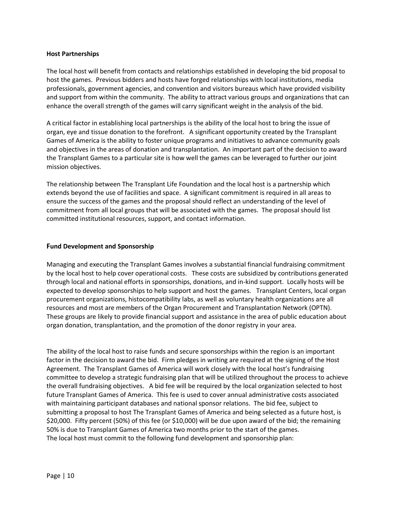#### **Host Partnerships**

The local host will benefit from contacts and relationships established in developing the bid proposal to host the games. Previous bidders and hosts have forged relationships with local institutions, media professionals, government agencies, and convention and visitors bureaus which have provided visibility and support from within the community. The ability to attract various groups and organizations that can enhance the overall strength of the games will carry significant weight in the analysis of the bid.

A critical factor in establishing local partnerships is the ability of the local host to bring the issue of organ, eye and tissue donation to the forefront. A significant opportunity created by the Transplant Games of America is the ability to foster unique programs and initiatives to advance community goals and objectives in the areas of donation and transplantation. An important part of the decision to award the Transplant Games to a particular site is how well the games can be leveraged to further our joint mission objectives.

The relationship between The Transplant Life Foundation and the local host is a partnership which extends beyond the use of facilities and space. A significant commitment is required in all areas to ensure the success of the games and the proposal should reflect an understanding of the level of commitment from all local groups that will be associated with the games. The proposal should list committed institutional resources, support, and contact information.

#### **Fund Development and Sponsorship**

Managing and executing the Transplant Games involves a substantial financial fundraising commitment by the local host to help cover operational costs. These costs are subsidized by contributions generated through local and national efforts in sponsorships, donations, and in-kind support. Locally hosts will be expected to develop sponsorships to help support and host the games. Transplant Centers, local organ procurement organizations, histocompatibility labs, as well as voluntary health organizations are all resources and most are members of the Organ Procurement and Transplantation Network (OPTN). These groups are likely to provide financial support and assistance in the area of public education about organ donation, transplantation, and the promotion of the donor registry in your area.

The ability of the local host to raise funds and secure sponsorships within the region is an important factor in the decision to award the bid. Firm pledges in writing are required at the signing of the Host Agreement. The Transplant Games of America will work closely with the local host's fundraising committee to develop a strategic fundraising plan that will be utilized throughout the process to achieve the overall fundraising objectives. A bid fee will be required by the local organization selected to host future Transplant Games of America. This fee is used to cover annual administrative costs associated with maintaining participant databases and national sponsor relations. The bid fee, subject to submitting a proposal to host The Transplant Games of America and being selected as a future host, is \$20,000. Fifty percent (50%) of this fee (or \$10,000) will be due upon award of the bid; the remaining 50% is due to Transplant Games of America two months prior to the start of the games. The local host must commit to the following fund development and sponsorship plan: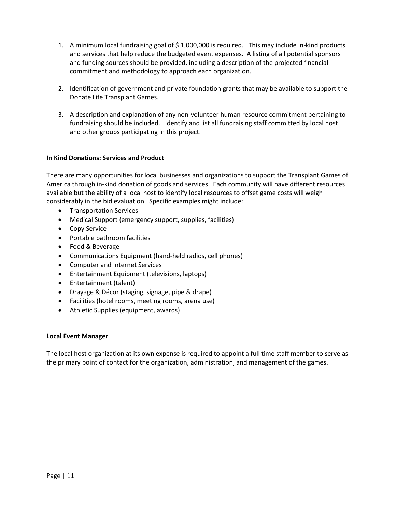- 1. A minimum local fundraising goal of \$ 1,000,000 is required. This may include in-kind products and services that help reduce the budgeted event expenses. A listing of all potential sponsors and funding sources should be provided, including a description of the projected financial commitment and methodology to approach each organization.
- 2. Identification of government and private foundation grants that may be available to support the Donate Life Transplant Games.
- 3. A description and explanation of any non-volunteer human resource commitment pertaining to fundraising should be included. Identify and list all fundraising staff committed by local host and other groups participating in this project.

#### **In Kind Donations: Services and Product**

There are many opportunities for local businesses and organizations to support the Transplant Games of America through in-kind donation of goods and services. Each community will have different resources available but the ability of a local host to identify local resources to offset game costs will weigh considerably in the bid evaluation. Specific examples might include:

- Transportation Services
- Medical Support (emergency support, supplies, facilities)
- Copy Service
- Portable bathroom facilities
- Food & Beverage
- Communications Equipment (hand-held radios, cell phones)
- Computer and Internet Services
- Entertainment Equipment (televisions, laptops)
- Entertainment (talent)
- Drayage & Décor (staging, signage, pipe & drape)
- Facilities (hotel rooms, meeting rooms, arena use)
- Athletic Supplies (equipment, awards)

#### **Local Event Manager**

The local host organization at its own expense is required to appoint a full time staff member to serve as the primary point of contact for the organization, administration, and management of the games.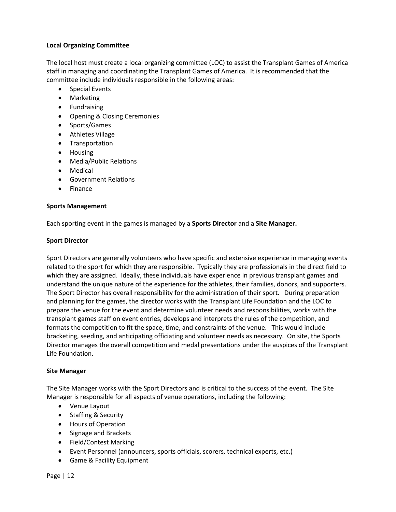#### **Local Organizing Committee**

The local host must create a local organizing committee (LOC) to assist the Transplant Games of America staff in managing and coordinating the Transplant Games of America. It is recommended that the committee include individuals responsible in the following areas:

- Special Events
- Marketing
- Fundraising
- Opening & Closing Ceremonies
- Sports/Games
- Athletes Village
- Transportation
- Housing
- Media/Public Relations
- Medical
- Government Relations
- **Finance**

#### **Sports Management**

Each sporting event in the games is managed by a **Sports Director** and a **Site Manager.**

#### **Sport Director**

Sport Directors are generally volunteers who have specific and extensive experience in managing events related to the sport for which they are responsible. Typically they are professionals in the direct field to which they are assigned. Ideally, these individuals have experience in previous transplant games and understand the unique nature of the experience for the athletes, their families, donors, and supporters. The Sport Director has overall responsibility for the administration of their sport. During preparation and planning for the games, the director works with the Transplant Life Foundation and the LOC to prepare the venue for the event and determine volunteer needs and responsibilities, works with the transplant games staff on event entries, develops and interprets the rules of the competition, and formats the competition to fit the space, time, and constraints of the venue. This would include bracketing, seeding, and anticipating officiating and volunteer needs as necessary. On site, the Sports Director manages the overall competition and medal presentations under the auspices of the Transplant Life Foundation.

#### **Site Manager**

The Site Manager works with the Sport Directors and is critical to the success of the event. The Site Manager is responsible for all aspects of venue operations, including the following:

- Venue Layout
- Staffing & Security
- Hours of Operation
- Signage and Brackets
- Field/Contest Marking
- Event Personnel (announcers, sports officials, scorers, technical experts, etc.)
- Game & Facility Equipment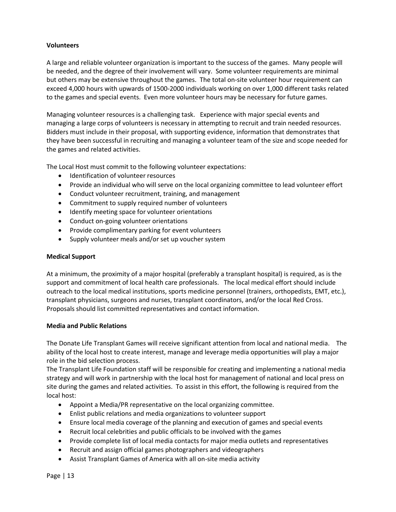#### **Volunteers**

A large and reliable volunteer organization is important to the success of the games. Many people will be needed, and the degree of their involvement will vary. Some volunteer requirements are minimal but others may be extensive throughout the games. The total on-site volunteer hour requirement can exceed 4,000 hours with upwards of 1500-2000 individuals working on over 1,000 different tasks related to the games and special events. Even more volunteer hours may be necessary for future games.

Managing volunteer resources is a challenging task. Experience with major special events and managing a large corps of volunteers is necessary in attempting to recruit and train needed resources. Bidders must include in their proposal, with supporting evidence, information that demonstrates that they have been successful in recruiting and managing a volunteer team of the size and scope needed for the games and related activities.

The Local Host must commit to the following volunteer expectations:

- Identification of volunteer resources
- Provide an individual who will serve on the local organizing committee to lead volunteer effort
- Conduct volunteer recruitment, training, and management
- Commitment to supply required number of volunteers
- Identify meeting space for volunteer orientations
- Conduct on-going volunteer orientations
- Provide complimentary parking for event volunteers
- Supply volunteer meals and/or set up voucher system

#### **Medical Support**

At a minimum, the proximity of a major hospital (preferably a transplant hospital) is required, as is the support and commitment of local health care professionals. The local medical effort should include outreach to the local medical institutions, sports medicine personnel (trainers, orthopedists, EMT, etc.), transplant physicians, surgeons and nurses, transplant coordinators, and/or the local Red Cross. Proposals should list committed representatives and contact information.

#### **Media and Public Relations**

The Donate Life Transplant Games will receive significant attention from local and national media. The ability of the local host to create interest, manage and leverage media opportunities will play a major role in the bid selection process.

The Transplant Life Foundation staff will be responsible for creating and implementing a national media strategy and will work in partnership with the local host for management of national and local press on site during the games and related activities. To assist in this effort, the following is required from the local host:

- Appoint a Media/PR representative on the local organizing committee.
- Enlist public relations and media organizations to volunteer support
- Ensure local media coverage of the planning and execution of games and special events
- Recruit local celebrities and public officials to be involved with the games
- Provide complete list of local media contacts for major media outlets and representatives
- Recruit and assign official games photographers and videographers
- Assist Transplant Games of America with all on-site media activity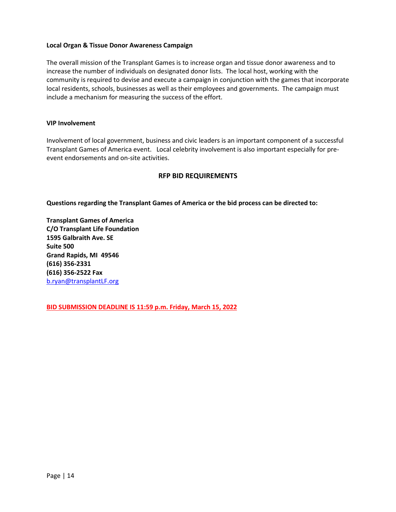#### **Local Organ & Tissue Donor Awareness Campaign**

The overall mission of the Transplant Games is to increase organ and tissue donor awareness and to increase the number of individuals on designated donor lists. The local host, working with the community is required to devise and execute a campaign in conjunction with the games that incorporate local residents, schools, businesses as well as their employees and governments. The campaign must include a mechanism for measuring the success of the effort.

#### **VIP Involvement**

Involvement of local government, business and civic leaders is an important component of a successful Transplant Games of America event. Local celebrity involvement is also important especially for preevent endorsements and on-site activities.

## **RFP BID REQUIREMENTS**

**Questions regarding the Transplant Games of America or the bid process can be directed to:**

**Transplant Games of America C/O Transplant Life Foundation 1595 Galbraith Ave. SE Suite 500 Grand Rapids, MI 49546 (616) 356-2331 (616) 356-2522 Fax** [b.ryan@transplantLF.org](mailto:bill.ryan@transplantgamesofamerica.org)

**BID SUBMISSION DEADLINE IS 11:59 p.m. Friday, March 15, 2022**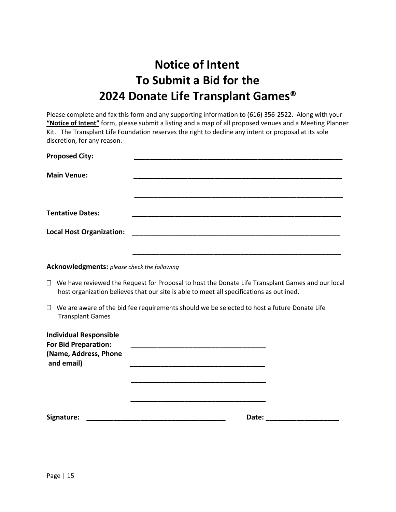# **Notice of Intent To Submit a Bid for the 2024 Donate Life Transplant Games®**

Please complete and fax this form and any supporting information to (616) 356-2522. Along with your **"Notice of Intent"** form, please submit a listing and a map of all proposed venues and a Meeting Planner Kit. The Transplant Life Foundation reserves the right to decline any intent or proposal at its sole discretion, for any reason.

| <b>Proposed City:</b>           |  |
|---------------------------------|--|
| <b>Main Venue:</b>              |  |
|                                 |  |
| <b>Tentative Dates:</b>         |  |
| <b>Local Host Organization:</b> |  |
|                                 |  |

#### **Acknowledgments:** *please check the following*

- We have reviewed the Request for Proposal to host the Donate Life Transplant Games and our local host organization believes that our site is able to meet all specifications as outlined.
- $\Box$  We are aware of the bid fee requirements should we be selected to host a future Donate Life Transplant Games

| <b>Individual Responsible</b><br><b>For Bid Preparation:</b> |       |  |
|--------------------------------------------------------------|-------|--|
| (Name, Address, Phone<br>and email)                          |       |  |
|                                                              |       |  |
|                                                              |       |  |
| Signature:                                                   | Date: |  |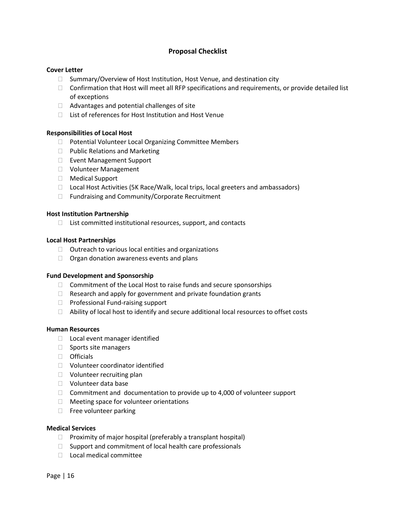## **Proposal Checklist**

#### **Cover Letter**

- $\Box$  Summary/Overview of Host Institution, Host Venue, and destination city
- $\Box$  Confirmation that Host will meet all RFP specifications and requirements, or provide detailed list of exceptions
- $\Box$  Advantages and potential challenges of site
- $\Box$  List of references for Host Institution and Host Venue

#### **Responsibilities of Local Host**

- □ Potential Volunteer Local Organizing Committee Members
- $\Box$  Public Relations and Marketing
- □ Event Management Support
- Volunteer Management
- □ Medical Support
- □ Local Host Activities (5K Race/Walk, local trips, local greeters and ambassadors)
- □ Fundraising and Community/Corporate Recruitment

#### **Host Institution Partnership**

 $\Box$  List committed institutional resources, support, and contacts

#### **Local Host Partnerships**

- $\Box$  Outreach to various local entities and organizations
- $\Box$  Organ donation awareness events and plans

#### **Fund Development and Sponsorship**

- $\Box$  Commitment of the Local Host to raise funds and secure sponsorships
- $\Box$  Research and apply for government and private foundation grants
- $\Box$  Professional Fund-raising support
- $\Box$  Ability of local host to identify and secure additional local resources to offset costs

#### **Human Resources**

- $\Box$  Local event manager identified
- $\Box$  Sports site managers
- $\Box$  Officials
- Volunteer coordinator identified
- □ Volunteer recruiting plan
- Volunteer data base
- $\Box$  Commitment and documentation to provide up to 4,000 of volunteer support
- $\Box$  Meeting space for volunteer orientations
- $\Box$  Free volunteer parking

#### **Medical Services**

- $\Box$  Proximity of major hospital (preferably a transplant hospital)
- $\Box$  Support and commitment of local health care professionals
- □ Local medical committee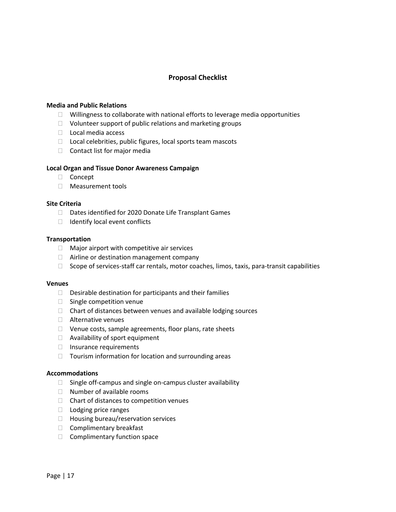# **Proposal Checklist**

#### **Media and Public Relations**

- $\Box$  Willingness to collaborate with national efforts to leverage media opportunities
- $\Box$  Volunteer support of public relations and marketing groups
- $\Box$  Local media access
- $\Box$  Local celebrities, public figures, local sports team mascots
- $\Box$  Contact list for major media

#### **Local Organ and Tissue Donor Awareness Campaign**

- Concept
- □ Measurement tools

#### **Site Criteria**

- Dates identified for 2020 Donate Life Transplant Games
- $\Box$  Identify local event conflicts

#### **Transportation**

- $\Box$  Major airport with competitive air services
- $\Box$  Airline or destination management company
- $\Box$  Scope of services-staff car rentals, motor coaches, limos, taxis, para-transit capabilities

#### **Venues**

- $\Box$  Desirable destination for participants and their families
- □ Single competition venue
- $\Box$  Chart of distances between venues and available lodging sources
- Alternative venues
- $\Box$  Venue costs, sample agreements, floor plans, rate sheets
- □ Availability of sport equipment
- $\Box$  Insurance requirements
- $\Box$  Tourism information for location and surrounding areas

#### **Accommodations**

- $\Box$  Single off-campus and single on-campus cluster availability
- $\Box$  Number of available rooms
- $\Box$  Chart of distances to competition venues
- □ Lodging price ranges
- $\Box$  Housing bureau/reservation services
- $\Box$  Complimentary breakfast
- $\Box$  Complimentary function space